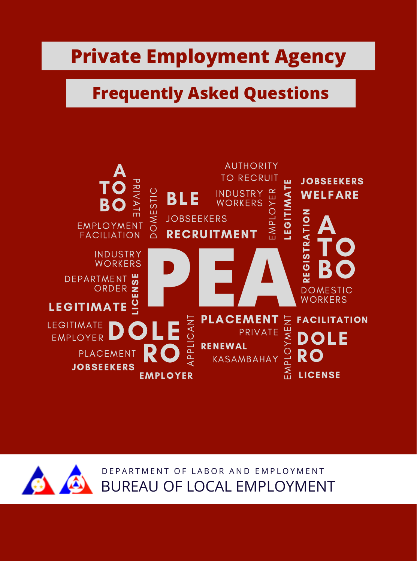## **Private Employment Agency**

# **Frequently Asked Questions**





D E PARTMENT OF LABOR AND EMPLOYMENT BUREAU OF LOCAL EMPLOYMENT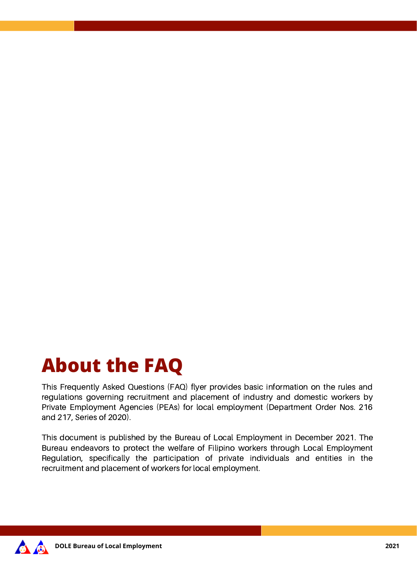# **About the FAQ**

This Frequently Asked Questions (FAQ) flyer provides basic information on the rules and regulations governing recruitment and placement of industry and domestic workers by Private Employment Agencies (PEAs) for local employment (Department Order Nos. 216 and 217, Series of 2020).

This document is published by the Bureau of Local Employment in December 2021. The Bureau endeavors to protect the welfare of Filipino workers through Local Employment Regulation, specifically the participation of private individuals and entities in the recruitment and placement of workers for local employment.

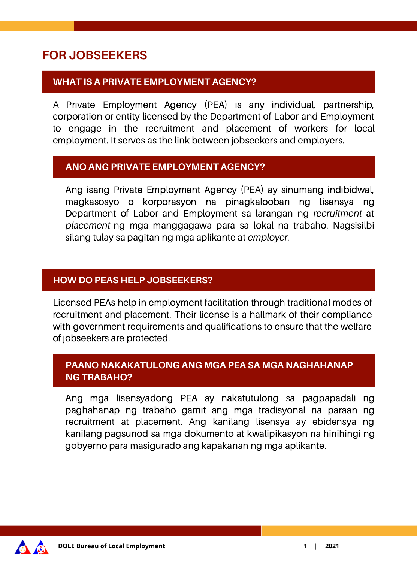## **FOR JOBSEEKERS**

## **WHAT IS A PRIVATE EMPLOYMENT AGENCY?**

A Private Employment Agency (PEA) is any individual, partnership, corporation or entity licensed by the Department of Labor and Employment to engage in the recruitment and placement of workers for local employment. It serves as the link between jobseekers and employers.

#### **ANO ANG PRIVATE EMPLOYMENT AGENCY?**

Ang isang Private Employment Agency (PEA) ay sinumang indibidwal, magkasosyo o korporasyon na pinagkalooban ng lisensya ng Department of Labor and Employment sa larangan ng *recruitment* at *placement* ng mga manggagawa para sa lokal na trabaho. Nagsisilbi silang tulay sa pagitan ng mga aplikante at *employer*.

#### **HOW DO PEAS HELP JOBSEEKERS?**

Licensed PEAs help in employment facilitation through traditional modes of recruitment and placement. Their license is a hallmark of their compliance with government requirements and qualifications to ensure that the welfare of jobseekers are protected.

## **PAANO NAKAKATULONG ANG MGA PEA SA MGA NAGHAHANAP NG TRABAHO?**

Ang mga lisensyadong PEA ay nakatutulong sa pagpapadali ng paghahanap ng trabaho gamit ang mga tradisyonal na paraan ng recruitment at placement. Ang kanilang lisensya ay ebidensya ng kanilang pagsunod sa mga dokumento at kwalipikasyon na hinihingi ng gobyerno para masigurado ang kapakanan ng mga aplikante.

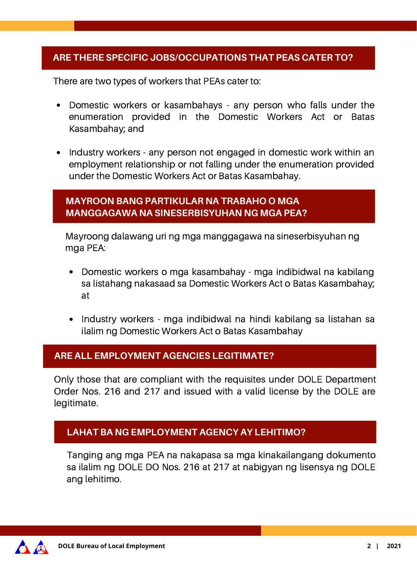#### **ARE THERE SPECIFIC JOBS/OCCUPATIONS THAT PEAS CATER TO?**

There are two types of workers that PEAs cater to:

- Domestic workers or kasambahays any person who falls under the enumeration provided in the Domestic Workers Act or Batas Kasambahay; and
- Industry workers any person not engaged in domestic work within an employment relationship or not falling under the enumeration provided under the Domestic Workers Act or Batas Kasambahay.

#### **MAYROON BANG PARTIKULAR NA TRABAHO O MGA MANGGAGAWA NA SINESERBISYUHAN NG MGA PEA?**

Mayroong dalawang uri ng mga manggagawa na sineserbisyuhan ng mga PEA:

- Domestic workers o mga kasambahay mga indibidwal na kabilang sa listahang nakasaad sa Domestic Workers Act o Batas Kasambahay; at
- Industry workers mga indibidwal na hindi kabilang sa listahan sa ilalim ng Domestic Workers Act o Batas Kasambahay

#### **ARE ALL EMPLOYMENT AGENCIES LEGITIMATE?**

Only those that are compliant with the requisites under DOLE Department Order Nos. 216 and 217 and issued with a valid license by the DOLE are legitimate.

#### **LAHAT BA NG EMPLOYMENT AGENCY AY LEHITIMO?**

Tanging ang mga PEA na nakapasa sa mga kinakailangang dokumento sa ilalim ng DOLE DO Nos. 216 at 217 at nabigyan ng lisensya ng DOLE ang lehitimo.

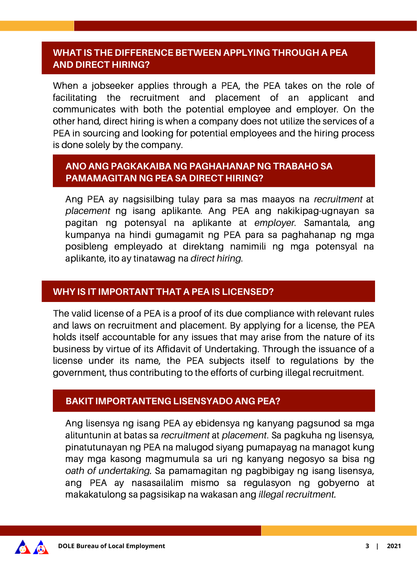#### **WHAT IS THE DIFFERENCE BETWEEN APPLYING THROUGH A PEA AND DIRECT HIRING?**

When a jobseeker applies through a PEA, the PEA takes on the role of facilitating the recruitment and placement of an applicant and communicates with both the potential employee and employer. On the other hand, direct hiring is when a company does not utilize the services of a PEA in sourcing and looking for potential employees and the hiring process is done solely by the company.

#### **ANO ANG PAGKAKAIBA NG PAGHAHANAP NG TRABAHO SA PAMAMAGITAN NG PEA SA DIRECT HIRING?**

Ang PEA ay nagsisilbing tulay para sa mas maayos na *recruitment* at *placement* ng isang aplikante. Ang PEA ang nakikipag-ugnayan sa pagitan ng potensyal na aplikante at *employer*. Samantala, ang kumpanya na hindi gumagamit ng PEA para sa paghahanap ng mga posibleng empleyado at direktang namimili ng mga potensyal na aplikante, ito ay tinatawag na *direct hiring*.

#### **WHY IS IT IMPORTANT THAT A PEA IS LICENSED?**

The valid license of a PEA is a proof of its due compliance with relevant rules and laws on recruitment and placement. By applying for a license, the PEA holds itself accountable for any issues that may arise from the nature of its business by virtue of its Affidavit of Undertaking. Through the issuance of a license under its name, the PEA subjects itself to regulations by the government, thus contributing to the efforts of curbing illegal recruitment.

#### **BAKIT IMPORTANTENG LISENSYADO ANG PEA?**

Ang lisensya ng isang PEA ay ebidensya ng kanyang pagsunod sa mga alituntunin at batas sa *recruitment* at *placement*. Sa pagkuha ng lisensya, pinatutunayan ng PEA na malugod siyang pumapayag na managot kung may mga kasong magmumula sa uri ng kanyang negosyo sa bisa ng *oath of undertaking.* Sa pamamagitan ng pagbibigay ng isang lisensya, ang PEA ay nasasailalim mismo sa regulasyon ng gobyerno at makakatulong sa pagsisikap na wakasan ang *illegal recruitment.*

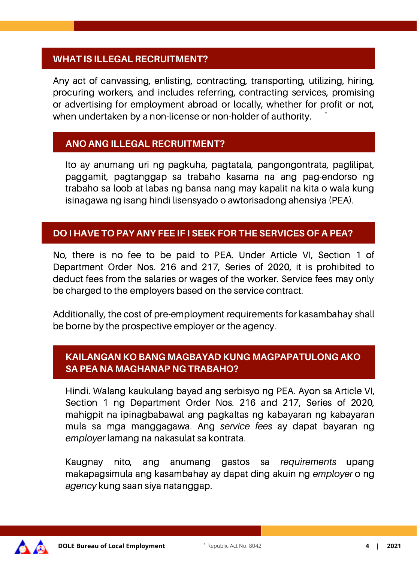#### **WHAT IS ILLEGAL RECRUITMENT?**

Any act of canvassing, enlisting, contracting, transporting, utilizing, hiring, procuring workers, and includes referring, contracting services, promising or advertising for employment abroad or locally, whether for profit or not, when undertaken by a non-license or non-holder of authority. \*

#### **ANO ANG ILLEGAL RECRUITMENT?**

Ito ay anumang uri ng pagkuha, pagtatala, pangongontrata, paglilipat, paggamit, pagtanggap sa trabaho kasama na ang pag-endorso ng trabaho sa loob at labas ng bansa nang may kapalit na kita o wala kung isinagawa ng isang hindi lisensyado o awtorisadong ahensiya (PEA).

## **DO I HAVE TO PAY ANY FEE IF I SEEK FOR THE SERVICES OF A PEA?**

No, there is no fee to be paid to PEA. Under Article VI, Section 1 of Department Order Nos. 216 and 217, Series of 2020, it is prohibited to deduct fees from the salaries or wages of the worker. Service fees may only be charged to the employers based on the service contract.

Additionally, the cost of pre-employment requirements for kasambahay shall be borne by the prospective employer or the agency.

#### **KAILANGAN KO BANG MAGBAYAD KUNG MAGPAPATULONG AKO SA PEA NA MAGHANAP NG TRABAHO?**

Hindi. Walang kaukulang bayad ang serbisyo ng PEA. Ayon sa Article VI, Section 1 ng Department Order Nos. 216 and 217, Series of 2020, mahigpit na ipinagbabawal ang pagkaltas ng kabayaran ng kabayaran mula sa mga manggagawa. Ang *service fees* ay dapat bayaran ng *employer* lamang na nakasulat sa kontrata.

Kaugnay nito, ang anumang gastos sa *requirements* upang makapagsimula ang kasambahay ay dapat ding akuin ng *employer* o ng *agency* kung saan siya natanggap.

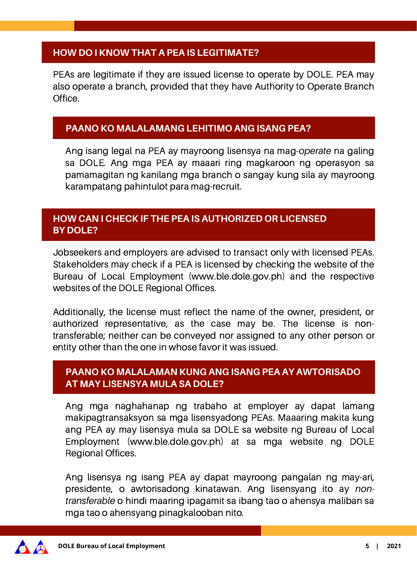## **HOW DO I KNOW THAT A PEA IS LEGITIMATE?**

PEAs are legitimate if they are issued license to operate by DOLE. PEA may also operate a branch, provided that they have Authority to Operate Branch Office.

#### **PAANO KO MALALAMANG LEHITIMO ANG ISANG PEA?**

Ang isang legal na PEA ay mayroong lisensya na mag-*operate* na galing sa DOLE. Ang mga PEA ay maaari ring magkaroon ng operasyon sa pamamagitan ng kanilang mga branch o sangay kung sila ay mayroong karampatang pahintulot para mag-recruit.

## **HOW CAN I CHECK IF THE PEA IS AUTHORIZED OR LICENSED BY DOLE?**

Jobseekers and employers are advised to transact only with licensed PEAs. Stakeholders may check if a PEA is licensed by checking the website of the Bureau of Local Employment (www.ble.dole.gov.ph) and the respective websites of the DOLE Regional Offices.

Additionally, the license must reflect the name of the owner, president, or authorized representative, as the case may be. The license is nontransferable; neither can be conveyed nor assigned to any other person or entity other than the one in whose favor it was issued.

#### **PAANO KO MALALAMAN KUNG ANG ISANG PEA AY AWTORISADO AT MAY LISENSYA MULA SA DOLE?**

Ang mga naghahanap ng trabaho at employer ay dapat lamang makipagtransaksyon sa mga lisensyadong PEAs. Maaaring makita kung ang PEA ay may lisensya mula sa DOLE sa website ng Bureau of Local Employment (www.ble.dole.gov.ph) at sa mga website ng DOLE Regional Offices.

Ang lisensya ng isang PEA ay dapat mayroong pangalan ng may-ari, presidente, o awtorisadong kinatawan. Ang lisensyang ito ay *nontransferable* o hindi maaring ipagamit sa ibang tao o ahensya maliban sa mga tao o ahensyang pinagkalooban nito.

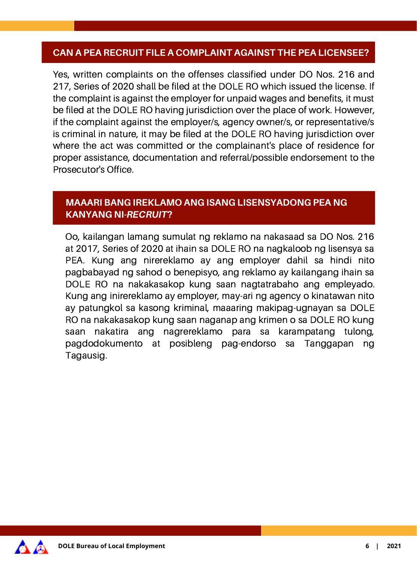#### **CAN A PEA RECRUIT FILE A COMPLAINT AGAINST THE PEA LICENSEE?**

Yes, written complaints on the offenses classified under DO Nos. 216 and 217, Series of 2020 shall be filed at the DOLE RO which issued the license. If the complaint is against the employer for unpaid wages and benefits, it must be filed at the DOLE RO having jurisdiction over the place of work. However, if the complaint against the employer/s, agency owner/s, or representative/s is criminal in nature, it may be filed at the DOLE RO having jurisdiction over where the act was committed or the complainant's place of residence for proper assistance, documentation and referral/possible endorsement to the Prosecutor's Office.

## **MAAARI BANG IREKLAMO ANG ISANG LISENSYADONG PEA NG KANYANG NI-**RECRUIT**?**

Oo, kailangan lamang sumulat ng reklamo na nakasaad sa DO Nos. 216 at 2017, Series of 2020 at ihain sa DOLE RO na nagkaloob ng lisensya sa PEA. Kung ang nirereklamo ay ang employer dahil sa hindi nito pagbabayad ng sahod o benepisyo, ang reklamo ay kailangang ihain sa DOLE RO na nakakasakop kung saan nagtatrabaho ang empleyado. Kung ang inirereklamo ay employer, may-ari ng agency o kinatawan nito ay patungkol sa kasong kriminal, maaaring makipag-ugnayan sa DOLE RO na nakakasakop kung saan naganap ang krimen o sa DOLE RO kung saan nakatira ang nagrereklamo para sa karampatang tulong, pagdodokumento at posibleng pag-endorso sa Tanggapan ng Tagausig.

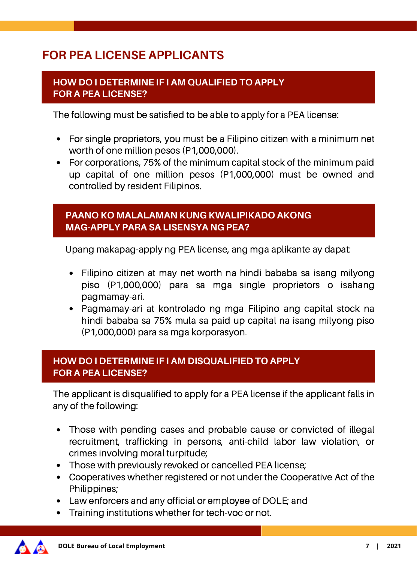## **FOR PEA LICENSE APPLICANTS**

#### **HOW DO I DETERMINE IF I AM QUALIFIED TO APPLY FOR A PEA LICENSE?**

The following must be satisfied to be able to apply for a PEA license:

- For single proprietors, you must be a Filipino citizen with a minimum net worth of one million pesos (P1,000,000).
- For corporations, 75% of the minimum capital stock of the minimum paid up capital of one million pesos (P1,000,000) must be owned and controlled by resident Filipinos.

#### **PAANO KO MALALAMAN KUNG KWALIPIKADO AKONG MAG-APPLY PARA SA LISENSYA NG PEA?**

Upang makapag-apply ng PEA license, ang mga aplikante ay dapat:

- Filipino citizen at may net worth na hindi bababa sa isang milyong piso (P1,000,000) para sa mga single proprietors o isahang pagmamay-ari.
- Pagmamay-ari at kontrolado ng mga Filipino ang capital stock na hindi bababa sa 75% mula sa paid up capital na isang milyong piso (P1,000,000) para sa mga korporasyon.

## **HOW DO I DETERMINE IF I AM DISQUALIFIED TO APPLY FOR A PEA LICENSE?**

The applicant is disqualified to apply for a PEA license if the applicant falls in any of the following:

- Those with pending cases and probable cause or convicted of illegal recruitment, trafficking in persons, anti-child labor law violation, or crimes involving moral turpitude;
- Those with previously revoked or cancelled PEA license:
- Cooperatives whether registered or not under the Cooperative Act of the Philippines;
- Law enforcers and any official or employee of DOLE; and
- Training institutions whether for tech-voc or not.

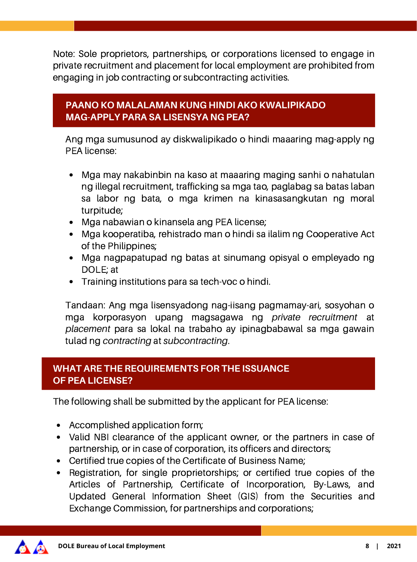Note: Sole proprietors, partnerships, or corporations licensed to engage in private recruitment and placement for local employment are prohibited from engaging in job contracting or subcontracting activities.

## **PAANO KO MALALAMAN KUNG HINDI AKO KWALIPIKADO MAG-APPLY PARA SA LISENSYA NG PEA?**

Ang mga sumusunod ay diskwalipikado o hindi maaaring mag-apply ng PEA license:

- Mga may nakabinbin na kaso at maaaring maging sanhi o nahatulan ng illegal recruitment, trafficking sa mga tao, paglabag sa batas laban sa labor ng bata, o mga krimen na kinasasangkutan ng moral turpitude;
- Mga nabawian o kinansela ang PEA license;
- Mga kooperatiba, rehistrado man o hindi sa ilalim ng Cooperative Act of the Philippines;
- Mga nagpapatupad ng batas at sinumang opisyal o empleyado ng DOLE; at
- Training institutions para sa tech-voc o hindi.

Tandaan: Ang mga lisensyadong nag-iisang pagmamay-ari, sosyohan o mga korporasyon upang magsagawa ng *private recruitment* at *placement* para sa lokal na trabaho ay ipinagbabawal sa mga gawain tulad ng *contracting* at *subcontracting*.

#### **WHAT ARE THE REQUIREMENTS FOR THE ISSUANCE OF PEA LICENSE?**

The following shall be submitted by the applicant for PEA license:

- Accomplished application form;
- Valid NBI clearance of the applicant owner, or the partners in case of partnership, or in case of corporation, its officers and directors;
- Certified true copies of the Certificate of Business Name;
- Registration, for single proprietorships; or certified true copies of the Articles of Partnership, Certificate of Incorporation, By-Laws, and Updated General Information Sheet (GIS) from the Securities and Exchange Commission, for partnerships and corporations;

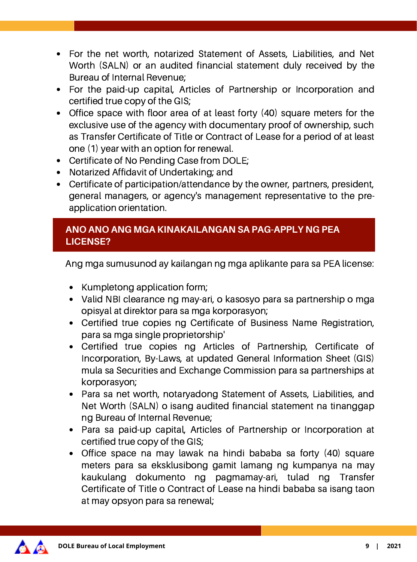- For the net worth, notarized Statement of Assets, Liabilities, and Net Worth (SALN) or an audited financial statement duly received by the Bureau of Internal Revenue;
- For the paid-up capital, Articles of Partnership or Incorporation and certified true copy of the GIS;
- Office space with floor area of at least forty (40) square meters for the exclusive use of the agency with documentary proof of ownership, such as Transfer Certificate of Title or Contract of Lease for a period of at least one (1) year with an option for renewal.
- Certificate of No Pending Case from DOLE;
- Notarized Affidavit of Undertaking; and
- Certificate of participation/attendance by the owner, partners, president, general managers, or agency's management representative to the preapplication orientation.

## **ANO ANO ANG MGA KINAKAILANGAN SA PAG-APPLY NG PEA LICENSE?**

Ang mga sumusunod ay kailangan ng mga aplikante para sa PEA license:

- Kumpletong application form;
- Valid NBI clearance ng may-ari, o kasosyo para sa partnership o mga opisyal at direktor para sa mga korporasyon;
- Certified true copies ng Certificate of Business Name Registration, para sa mga single proprietorship'
- Certified true copies ng Articles of Partnership, Certificate of Incorporation, By-Laws, at updated General Information Sheet (GIS) mula sa Securities and Exchange Commission para sa partnerships at korporasyon;
- Para sa net worth, notaryadong Statement of Assets, Liabilities, and Net Worth (SALN) o isang audited financial statement na tinanggap ng Bureau of Internal Revenue;
- Para sa paid-up capital, Articles of Partnership or Incorporation at certified true copy of the GIS;
- Office space na may lawak na hindi bababa sa forty (40) square meters para sa eksklusibong gamit lamang ng kumpanya na may kaukulang dokumento ng pagmamay-ari, tulad ng Transfer Certificate of Title o Contract of Lease na hindi bababa sa isang taon at may opsyon para sa renewal;

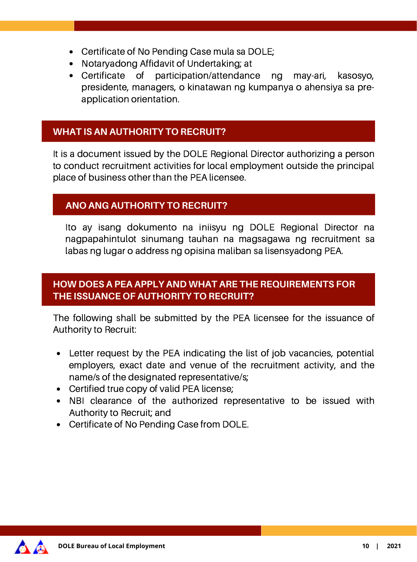- Certificate of No Pending Case mula sa DOLE;
- Notaryadong Affidavit of Undertaking; at
- Certificate of participation/attendance ng may-ari, kasosyo, presidente, managers, o kinatawan ng kumpanya o ahensiya sa preapplication orientation.

## **WHAT IS AN AUTHORITY TO RECRUIT?**

It is a document issued by the DOLE Regional Director authorizing a person to conduct recruitment activities for local employment outside the principal place of business other than the PEA licensee.

## **ANO ANG AUTHORITY TO RECRUIT?**

Ito ay isang dokumento na iniisyu ng DOLE Regional Director na nagpapahintulot sinumang tauhan na magsagawa ng recruitment sa labas ng lugar o address ng opisina maliban sa lisensyadong PEA.

## **HOW DOES A PEA APPLY AND WHAT ARE THE REQUIREMENTS FOR THE ISSUANCE OF AUTHORITY TO RECRUIT?**

The following shall be submitted by the PEA licensee for the issuance of Authority to Recruit:

- Letter request by the PEA indicating the list of job vacancies, potential employers, exact date and venue of the recruitment activity, and the name/s of the designated representative/s;
- Certified true copy of valid PEA license;
- NBI clearance of the authorized representative to be issued with Authority to Recruit; and
- Certificate of No Pending Case from DOLE.

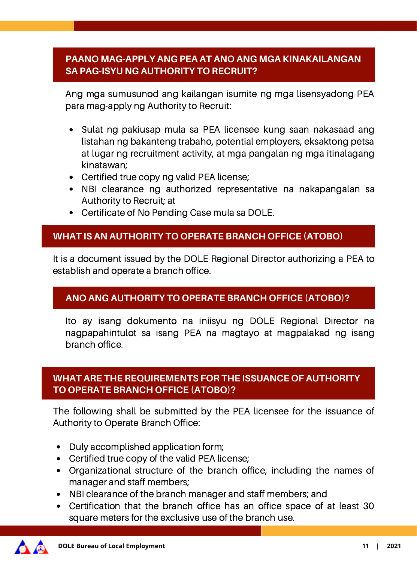## **PAANO MAG-APPLY ANG PEA AT ANO ANG MGA KINAKAILANGAN SA PAG-ISYU NG AUTHORITY TO RECRUIT?**

Ang mga sumusunod ang kailangan isumite ng mga lisensyadong PEA para mag-apply ng Authority to Recruit:

- Sulat ng pakiusap mula sa PEA licensee kung saan nakasaad ang listahan ng bakanteng trabaho, potential employers, eksaktong petsa at lugar ng recruitment activity, at mga pangalan ng mga itinalagang kinatawan;
- Certified true copy ng valid PEA license;
- NBI clearance ng authorized representative na nakapangalan sa Authority to Recruit; at
- Certificate of No Pending Case mula sa DOLE.

#### **WHAT IS AN AUTHORITY TO OPERATE BRANCH OFFICE (ATOBO)**

It is a document issued by the DOLE Regional Director authorizing a PEA to establish and operate a branch office.

#### **ANO ANG AUTHORITY TO OPERATE BRANCH OFFICE (ATOBO)?**

Ito ay isang dokumento na iniisyu ng DOLE Regional Director na nagpapahintulot sa isang PEA na magtayo at magpalakad ng isang branch office.

#### **WHAT ARE THE REQUIREMENTS FOR THE ISSUANCE OF AUTHORITY TO OPERATE BRANCH OFFICE (ATOBO)?**

The following shall be submitted by the PEA licensee for the issuance of Authority to Operate Branch Office:

- Duly accomplished application form:
- Certified true copy of the valid PEA license;
- Organizational structure of the branch office, including the names of manager and staff members;
- NBI clearance of the branch manager and staff members; and
- Certification that the branch office has an office space of at least 30 square meters for the exclusive use of the branch use.

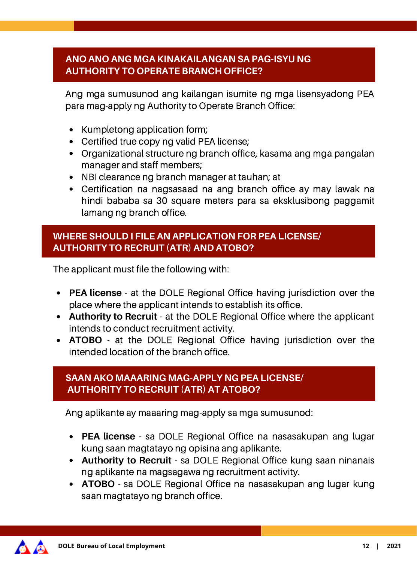## **ANO ANO ANG MGA KINAKAILANGAN SA PAG-ISYU NG AUTHORITY TO OPERATE BRANCH OFFICE?**

Ang mga sumusunod ang kailangan isumite ng mga lisensyadong PEA para mag-apply ng Authority to Operate Branch Office:

- Kumpletong application form;
- Certified true copy ng valid PEA license;
- Organizational structure ng branch office, kasama ang mga pangalan manager and staff members;
- NBI clearance ng branch manager at tauhan; at
- Certification na nagsasaad na ang branch office ay may lawak na hindi bababa sa 30 square meters para sa eksklusibong paggamit lamang ng branch office.

## **WHERE SHOULD I FILE AN APPLICATION FOR PEA LICENSE/ AUTHORITY TO RECRUIT (ATR) AND ATOBO?**

The applicant must file the following with:

- **PEA license** at the DOLE Regional Office having jurisdiction over the place where the applicant intends to establish its office.
- **Authority to Recruit** at the DOLE Regional Office where the applicant intends to conduct recruitment activity.
- **ATOBO** at the DOLE Regional Office having jurisdiction over the intended location of the branch office.

## **SAAN AKO MAAARING MAG-APPLY NG PEA LICENSE/ AUTHORITY TO RECRUIT (ATR) AT ATOBO?**

Ang aplikante ay maaaring mag-apply sa mga sumusunod:

- **PEA license** sa DOLE Regional Office na nasasakupan ang lugar kung saan magtatayo ng opisina ang aplikante.
- **Authority to Recruit** sa DOLE Regional Office kung saan ninanais ng aplikante na magsagawa ng recruitment activity.
- **ATOBO** sa DOLE Regional Office na nasasakupan ang lugar kung saan magtatayo ng branch office.

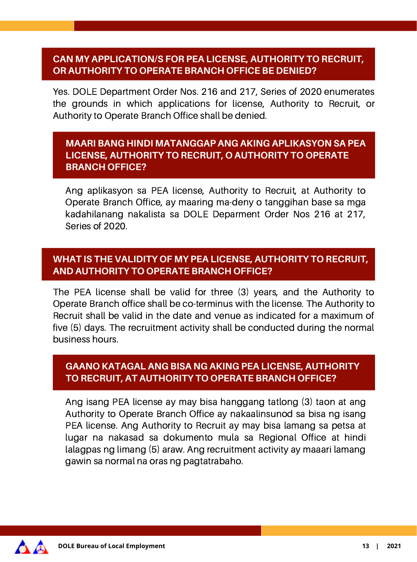## **CAN MY APPLICATION/S FOR PEA LICENSE, AUTHORITY TO RECRUIT, OR AUTHORITY TO OPERATE BRANCH OFFICE BE DENIED?**

Yes. DOLE Department Order Nos. 216 and 217, Series of 2020 enumerates the grounds in which applications for license, Authority to Recruit, or Authority to Operate Branch Office shall be denied.

#### **MAARI BANG HINDI MATANGGAP ANG AKING APLIKASYON SA PEA LICENSE, AUTHORITY TO RECRUIT, O AUTHORITY TO OPERATE BRANCH OFFICE?**

Ang aplikasyon sa PEA license, Authority to Recruit, at Authority to Operate Branch Office, ay maaring ma-deny o tanggihan base sa mga kadahilanang nakalista sa DOLE Deparment Order Nos 216 at 217, Series of 2020.

#### **WHAT IS THE VALIDITY OF MY PEA LICENSE, AUTHORITY TO RECRUIT, AND AUTHORITY TO OPERATE BRANCH OFFICE?**

The PEA license shall be valid for three (3) years, and the Authority to Operate Branch office shall be co-terminus with the license. The Authority to Recruit shall be valid in the date and venue as indicated for a maximum of five (5) days. The recruitment activity shall be conducted during the normal business hours.

## **GAANO KATAGAL ANG BISA NG AKING PEA LICENSE, AUTHORITY TO RECRUIT, AT AUTHORITY TO OPERATE BRANCH OFFICE?**

Ang isang PEA license ay may bisa hanggang tatlong (3) taon at ang Authority to Operate Branch Office ay nakaalinsunod sa bisa ng isang PEA license. Ang Authority to Recruit ay may bisa lamang sa petsa at lugar na nakasad sa dokumento mula sa Regional Office at hindi lalagpas ng limang (5) araw. Ang recruitment activity ay maaari lamang gawin sa normal na oras ng pagtatrabaho.

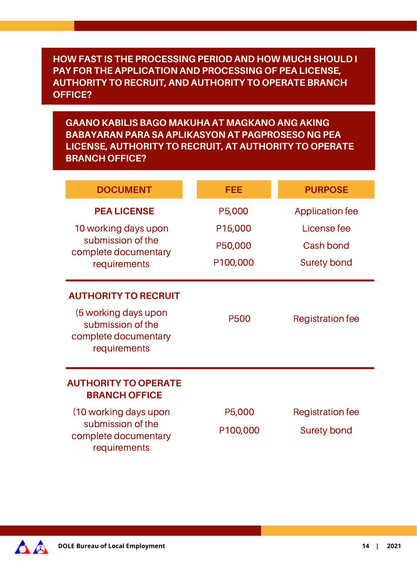#### **HOW FAST IS THE PROCESSING PERIOD AND HOW MUCH SHOULD I PAY FOR THE APPLICATION AND PROCESSING OF PEA LICENSE, AUTHORITY TO RECRUIT, AND AUTHORITY TO OPERATE BRANCH OFFICE?**

**GAANO KABILIS BAGO MAKUHA AT MAGKANO ANG AKING BABAYARAN PARA SA APLIKASYON AT PAGPROSESO NG PEA LICENSE, AUTHORITY TO RECRUIT, AT AUTHORITY TO OPERATE BRANCH OFFICE?**

| <b>DOCUMENT</b>                                                                                                  | FEE                                      | <b>PURPOSE</b>                                                    |
|------------------------------------------------------------------------------------------------------------------|------------------------------------------|-------------------------------------------------------------------|
| <b>PEA LICENSE</b><br>10 working days upon<br>submission of the<br>complete documentary<br>requirements          | P5,000<br>P15,000<br>P50,000<br>P100,000 | <b>Application fee</b><br>License fee<br>Cash bond<br>Surety bond |
| <b>AUTHORITY TO RECRUIT</b><br>(5 working days upon<br>submission of the<br>complete documentary<br>requirements | P500                                     | <b>Registration fee</b>                                           |
| <b>AUTHORITY TO OPERATE</b><br><b>BRANCH OFFICE</b>                                                              |                                          |                                                                   |
| (10 working days upon<br>submission of the<br>complete documentary<br>requirements                               | P5,000<br>P100,000                       | <b>Registration fee</b><br>Surety bond                            |

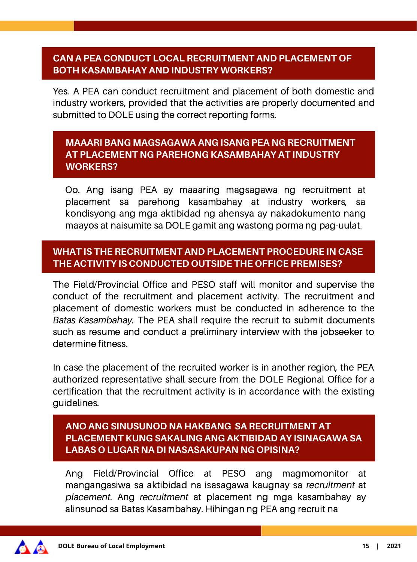#### **CAN A PEA CONDUCT LOCAL RECRUITMENT AND PLACEMENT OF BOTH KASAMBAHAY AND INDUSTRY WORKERS?**

Yes. A PEA can conduct recruitment and placement of both domestic and industry workers, provided that the activities are properly documented and submitted to DOLE using the correct reporting forms.

## **MAAARI BANG MAGSAGAWA ANG ISANG PEA NG RECRUITMENT AT PLACEMENT NG PAREHONG KASAMBAHAY AT INDUSTRY WORKERS?**

Oo. Ang isang PEA ay maaaring magsagawa ng recruitment at placement sa parehong kasambahay at industry workers, sa kondisyong ang mga aktibidad ng ahensya ay nakadokumento nang maayos at naisumite sa DOLE gamit ang wastong porma ng pag-uulat.

## **WHAT IS THE RECRUITMENT AND PLACEMENT PROCEDURE IN CASE THE ACTIVITY IS CONDUCTED OUTSIDE THE OFFICE PREMISES?**

The Field/Provincial Office and PESO staff will monitor and supervise the conduct of the recruitment and placement activity. The recruitment and placement of domestic workers must be conducted in adherence to the *Batas Kasambahay.* The PEA shall require the recruit to submit documents such as resume and conduct a preliminary interview with the jobseeker to determine fitness.

In case the placement of the recruited worker is in another region, the PEA authorized representative shall secure from the DOLE Regional Office for a certification that the recruitment activity is in accordance with the existing guidelines.

#### **ANO ANG SINUSUNOD NA HAKBANG SA RECRUITMENT AT PLACEMENT KUNG SAKALING ANG AKTIBIDAD AY ISINAGAWA SA LABAS O LUGAR NA DI NASASAKUPAN NG OPISINA?**

Ang Field/Provincial Office at PESO ang magmomonitor at mangangasiwa sa aktibidad na isasagawa kaugnay sa *recruitment* at *placement*. Ang *recruitment* at placement ng mga kasambahay ay alinsunod sa Batas Kasambahay. Hihingan ng PEA ang recruit na

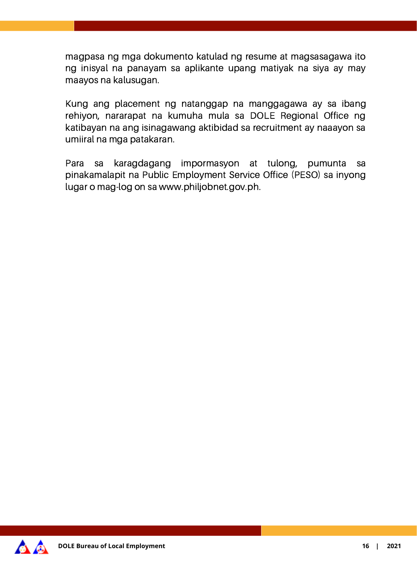magpasa ng mga dokumento katulad ng resume at magsasagawa ito ng inisyal na panayam sa aplikante upang matiyak na siya ay may maayos na kalusugan.

Kung ang placement ng natanggap na manggagawa ay sa ibang rehiyon, nararapat na kumuha mula sa DOLE Regional Office ng katibayan na ang isinagawang aktibidad sa recruitment ay naaayon sa umiiral na mga patakaran.

Para sa karagdagang impormasyon at tulong, pumunta sa pinakamalapit na Public Employment Service Office (PESO) sa inyong lugar o mag-log on sa www.philjobnet.gov.ph.

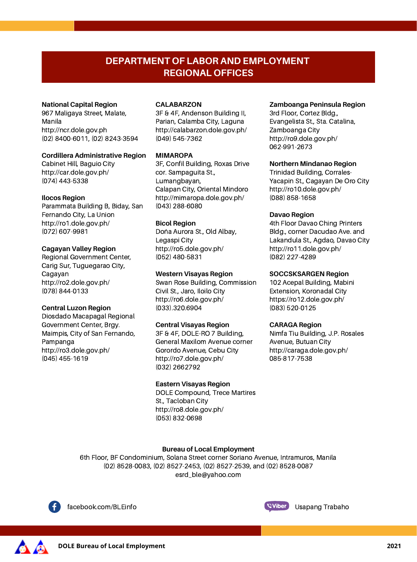#### **DEPARTMENT OF LABOR AND EMPLOYMENT REGIONAL OFFICES**

#### **National Capital Region**

967 Maligaya Street, Malate, Manila http://ncr.dole.gov.ph (02) 8400-6011, (02) 8243-3594

#### **Cordillera Administrative Region**

Cabinet Hill, Baguio City <http://car.dole.gov.ph/> (074) 443-5338

#### **Ilocos Region**

Parammata Building B, Biday, San Fernando City, La Union <http://ro1.dole.gov.ph/> (072) 607-9981

#### **Cagayan Valley Region**

Regional Government Center, Carig Sur, Tuguegarao City, Cagayan <http://ro2.dole.gov.ph/> (078) 844-0133

#### **Central Luzon Region**

Diosdado Macapagal Regional Government Center, Brgy. Maimpis, City of San Fernando, Pampanga <http://ro3.dole.gov.ph/> (045) 455-1619

#### **CALABARZON**

3F & 4F, Andenson Building II, Parian, Calamba City, Laguna <http://calabarzon.dole.gov.ph/> (049) 545-7362

#### **MIMAROPA**

3F, Confil Building, Roxas Drive cor. Sampaguita St., Lumangbayan, Calapan City, Oriental Mindoro <http://mimaropa.dole.gov.ph/> (043) 288-6080

#### **Bicol Region**

Doña Aurora St., Old Albay, Legaspi City <http://ro5.dole.gov.ph/> (052) 480-5831

#### **Western Visayas Region**

Swan Rose Building, Commission Civil St., Jaro, Iloilo City <http://ro6.dole.gov.ph/> (033).320.6904

#### **Central Visayas Region**

3F & 4F, DOLE-RO 7 Building, General Maxilom Avenue corner Gorordo Avenue, Cebu City <http://ro7.dole.gov.ph/> (032) 2662792

#### **Eastern Visayas Region**

DOLE Compound, Trece Martires St., Tacloban City <http://ro8.dole.gov.ph/> (053) 832-0698

#### **Zamboanga Peninsula Region**

3rd Floor, Cortez Bldg., Evangelista St., Sta. Catalina, Zamboanga City <http://ro9.dole.gov.ph/> 062-991-2673

#### **Northern Mindanao Region**

Trinidad Building, Corrales-Yacapin St., Cagayan De Oro City <http://ro10.dole.gov.ph/> (088) 858-1658

#### **Davao Region**

4th Floor Davao Ching Printers Bldg., corner Dacudao Ave. and Lakandula St., Agdao, Davao City <http://ro11.dole.gov.ph/> (082) 227-4289

#### **SOCCSKSARGEN Region**

102 Acepal Building, Mabini Extension, Koronadal City <https://ro12.dole.gov.ph/> (083) 520-0125

#### **CARAGA Region**

Nimfa Tiu Building, J.P. Rosales Avenue, Butuan City <http://caraga.dole.gov.ph/> 085-817-7538

#### **Bureau of Local Employment**

6th Floor, BF Condominium, Solana Street corner Soriano Avenue, Intramuros, Manila (02) 8528-0083, (02) 8527-2453, (02) 8527-2539, and (02) 8528-0087 esrd\_ble@yahoo.com



facebook.com/BLEinfo **Example 2018** Company Usapang Trabaho